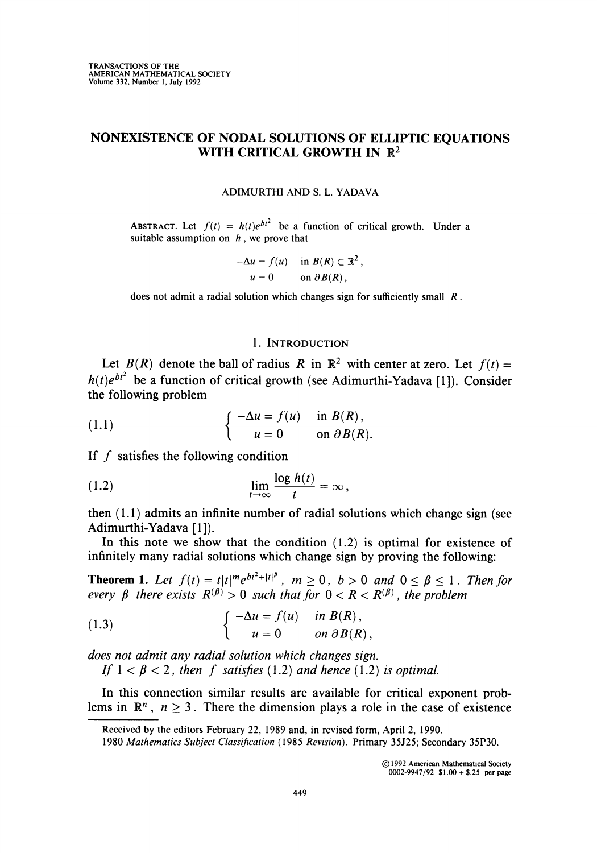# NONEXISTENCE OF NODAL SOLUTIONS OF ELLIPTIC EQUATIONS WITH CRITICAL GROWTH IN  $\mathbb{R}^2$

#### ADIMURTHI AND S. L. YADAVA

ABSTRACT. Let  $f(t) = h(t)e^{bt^2}$  be a function of critical growth. Under a suitable assumption on  $h$ , we prove that

$$
-\Delta u = f(u) \quad \text{in } B(R) \subset \mathbb{R}^2,
$$
  

$$
u = 0 \quad \text{on } \partial B(R),
$$

does not admit a radial solution which changes sign for sufficiently small  $R$ .

#### 1. Introduction

Let  $B(R)$  denote the ball of radius R in  $\mathbb{R}^2$  with center at zero. Let  $f(t) =$  $h(t)e^{bt^2}$  be a function of critical growth (see Adimurthi-Yadava [1]). Consider the following problem

(1.1) 
$$
\begin{cases}\n-\Delta u = f(u) & \text{in } B(R), \\
u = 0 & \text{on } \partial B(R).\n\end{cases}
$$

If  $f$  satisfies the following condition

(1.2) 
$$
\lim_{t \to \infty} \frac{\log h(t)}{t} = \infty,
$$

then (1.1) admits an infinite number of radial solutions which change sign (see Adimurthi-Yadava [1]).

In this note we show that the condition  $(1.2)$  is optimal for existence of infinitely many radial solutions which change sign by proving the following:

**Theorem 1.** Let  $f(t) = t\vert t\vert^m e^{bt^*+|t|^p}$ ,  $m\geq 0$ ,  $b>0$  and  $0 \leq \beta \leq 1$ . Then for every  $\beta$  there exists  $R^{(\beta)} > 0$  such that for  $0 < R < R^{(\beta)}$ , the problem

(1.3) 
$$
\begin{cases}\n-\Delta u = f(u) & \text{in } B(R), \\
u = 0 & \text{on } \partial B(R),\n\end{cases}
$$

does not admit any radial solution which changes sign.

If  $1 < \beta < 2$ , then f satisfies (1.2) and hence (1.2) is optimal.

In this connection similar results are available for critical exponent problems in  $\mathbb{R}^n$ ,  $n \geq 3$ . There the dimension plays a role in the case of existence

Received by the editors February 22, 1989 and, in revised form, April 2, 1990.

<sup>1980</sup> Mathematics Subject Classification (1985 Revision). Primary 35J25; Secondary 35P30.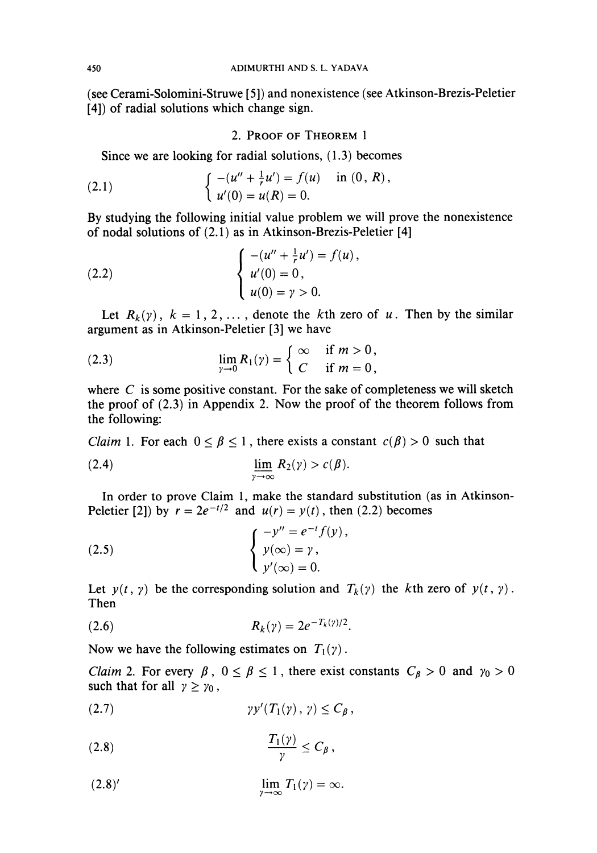(see Cerami-Solomini-Struwe [5]) and nonexistence (see Atkinson-Brezis-Peletier [4]) of radial solutions which change sign.

## 2. Proof of Theorem 1

Since we are looking for radial solutions, (1.3) becomes

(2.1) 
$$
\begin{cases} -(u'' + \frac{1}{r}u') = f(u) & \text{in } (0, R), \\ u'(0) = u(R) = 0. \end{cases}
$$

By studying the following initial value problem we will prove the nonexistence of nodal solutions of (2.1) as in Atkinson-Brezis-Peletier [4]

(2.2) 
$$
\begin{cases}\n-(u'' + \frac{1}{r}u') = f(u), \\
u'(0) = 0, \\
u(0) = \gamma > 0.\n\end{cases}
$$

Let  $R_k(y)$ ,  $k = 1, 2, \ldots$ , denote the kth zero of u. Then by the similar argument as in Atkinson-Peletier [3] we have

(2.3) 
$$
\lim_{\gamma \to 0} R_1(\gamma) = \begin{cases} \infty & \text{if } m > 0, \\ C & \text{if } m = 0, \end{cases}
$$

where  $C$  is some positive constant. For the sake of completeness we will sketch the proof of (2.3) in Appendix 2. Now the proof of the theorem follows from the following:

*Claim* 1. For each  $0 \le \beta \le 1$ , there exists a constant  $c(\beta) > 0$  such that

(2.4) 
$$
\lim_{\gamma \to \infty} R_2(\gamma) > c(\beta).
$$

In order to prove Claim 1, make the standard substitution (as in Atkinson-Peletier [2]) by  $r = 2e^{-t/2}$  and  $u(r) = y(t)$ , then (2.2) becomes

(2.5) 
$$
\begin{cases} -y'' = e^{-t} f(y), \\ y(\infty) = \gamma, \\ y'(\infty) = 0. \end{cases}
$$

Let  $y(t, \gamma)$  be the corresponding solution and  $T_k(\gamma)$  the kth zero of  $y(t, \gamma)$ . Then

(2.6) 
$$
R_k(\gamma) = 2e^{-T_k(\gamma)/2}.
$$

Now we have the following estimates on  $T_1(\gamma)$ .

*Claim 2.* For every  $\beta$ ,  $0 \le \beta \le 1$ , there exist constants  $C_{\beta} > 0$  and  $\gamma_0 > 0$ such that for all  $\gamma \geq \gamma_0$ ,

(2.7) yy'(Tx(y),y)<Cß,

$$
(2.8) \t\t \t\t \frac{T_1(\gamma)}{\gamma} \leq C_\beta,
$$

$$
\lim_{\gamma \to \infty} T_1(\gamma) = \infty.
$$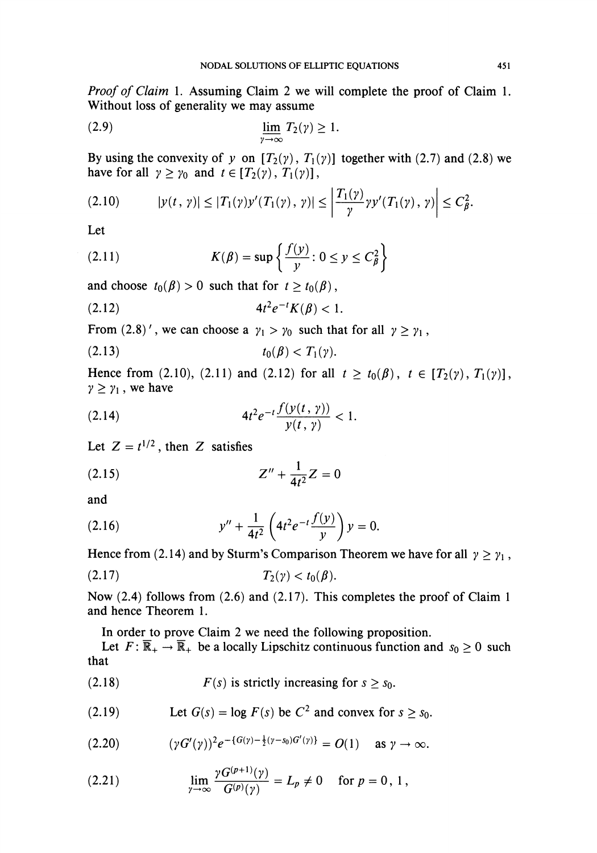Proof of Claim 1. Assuming Claim 2 we will complete the proof of Claim 1. Without loss of generality we may assume

$$
\lim_{\gamma \to \infty} T_2(\gamma) \ge 1.
$$

By using the convexity of y on  $[T_2(y), T_1(y)]$  together with (2.7) and (2.8) we have for all  $\gamma \geq \gamma_0$  and  $t \in [T_2(\gamma), T_1(\gamma)],$ 

$$
(2.10) \t |y(t, \gamma)| \le |T_1(\gamma)y'(T_1(\gamma), \gamma)| \le \left|\frac{T_1(\gamma)}{\gamma} \gamma y'(T_1(\gamma), \gamma)\right| \le C_{\beta}^2.
$$

Let

(2.11) 
$$
K(\beta) = \sup \left\{ \frac{f(y)}{y} : 0 \le y \le C_{\beta}^2 \right\}
$$

and choose  $t_0(\beta) > 0$  such that for  $t \geq t_0(\beta)$ ,

$$
(2.12) \t\t\t 4t^2e^{-t}K(\beta) < 1.
$$

From (2.8)', we can choose a  $\gamma_1 > \gamma_0$  such that for all  $\gamma \ge \gamma_1$ ,

$$
(2.13) \t t_0(\beta) < T_1(\gamma).
$$

Hence from (2.10), (2.11) and (2.12) for all  $t \ge t_0(\beta)$ ,  $t \in [T_2(\gamma), T_1(\gamma)]$ ,  $\gamma \geq \gamma_1$ , we have

(2.14) 
$$
4t^2e^{-t}\frac{f(y(t, \gamma))}{y(t, \gamma)} < 1.
$$

Let  $Z = t^{1/2}$ , then Z satisfies

(2.15) 
$$
Z'' + \frac{1}{4t^2}Z = 0
$$

and

(2.16) 
$$
y'' + \frac{1}{4t^2} \left( 4t^2 e^{-t} \frac{f(y)}{y} \right) y = 0.
$$

Hence from (2.14) and by Sturm's Comparison Theorem we have for all  $\gamma \geq \gamma_1$ ,

$$
(2.17) \t\t T_2(\gamma) < t_0(\beta).
$$

Now (2.4) follows from (2.6) and (2.17). This completes the proof of Claim 1 and hence Theorem 1.

In order to prove Claim 2 we need the following proposition.

Let  $F: \overline{\mathbb{R}}_+ \to \overline{\mathbb{R}}_+$  be a locally Lipschitz continuous function and  $s_0 \ge 0$  such that

(2.18)  $F(s)$  is strictly increasing for  $s > s_0$ .

(2.19) Let 
$$
G(s) = \log F(s)
$$
 be  $C^2$  and convex for  $s \geq s_0$ .

$$
(2.20) \t\t\t (\gamma G'(\gamma))^2 e^{-(G(\gamma)-\frac{1}{2}(\gamma-s_0)G'(\gamma))} = O(1) \t\t as \t\t \gamma \to \infty.
$$

(2.21) 
$$
\lim_{\gamma \to \infty} \frac{\gamma G^{(p+1)}(\gamma)}{G^{(p)}(\gamma)} = L_p \neq 0 \quad \text{for } p = 0, 1,
$$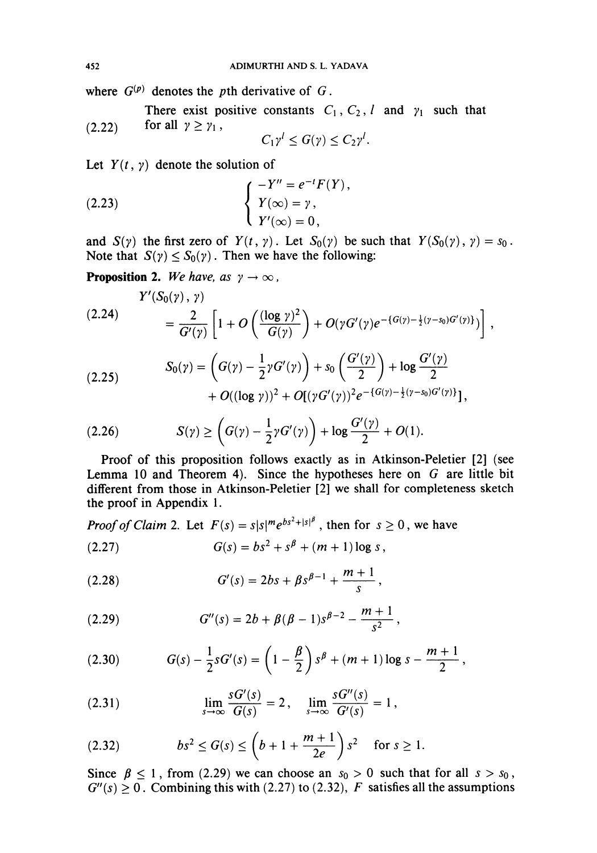where  $G^{(p)}$  denotes the pth derivative of G.

There exist positive constants  $C_1$ ,  $C_2$ , l and  $\gamma_1$  such that (2.22) for all  $\gamma \geq \gamma_1$ ,

$$
C_1\gamma^l\leq G(\gamma)\leq C_2\gamma^l.
$$

Let  $Y(t, \gamma)$  denote the solution of

(2.23) 
$$
\begin{cases}\n-Y'' = e^{-t} F(Y), \\
Y(\infty) = \gamma, \\
Y'(\infty) = 0,\n\end{cases}
$$

and  $S(y)$  the first zero of  $Y(t, y)$ . Let  $S_0(y)$  be such that  $Y(S_0(y), y) = s_0$ . Note that  $S(\gamma) \leq S_0(\gamma)$ . Then we have the following:

**Proposition 2.** We have, as  $\gamma \to \infty$ ,

$$
(2.24) \qquad \qquad Y'(S_0(\gamma), \gamma) = \frac{2}{G'(\gamma)} \left[ 1 + O\left( \frac{(\log \gamma)^2}{G(\gamma)} \right) + O(\gamma G'(\gamma) e^{-\{G(\gamma) - \frac{1}{2}(\gamma - s_0)G'(\gamma)\}}) \right],
$$

$$
(2.25) \hspace{1cm} S_0(\gamma) = \left( G(\gamma) - \frac{1}{2} \gamma G'(\gamma) \right) + s_0 \left( \frac{G'(\gamma)}{2} \right) + \log \frac{G'(\gamma)}{2} \\ + O((\log \gamma))^2 + O[(\gamma G'(\gamma))^2 e^{-\{G(\gamma) - \frac{1}{2}(\gamma - s_0)G'(\gamma)\}}],
$$

$$
(2.26) \tS(\gamma) \geq \left(G(\gamma) - \frac{1}{2}\gamma G'(\gamma)\right) + \log \frac{G'(\gamma)}{2} + O(1).
$$

Proof of this proposition follows exactly as in Atkinson-Peletier [2] (see Lemma 10 and Theorem 4). Since the hypotheses here on  $G$  are little bit different from those in Atkinson-Peletier [2] we shall for completeness sketch the proof in Appendix 1.

*Proof of Claim 2.* Let  $F(s) = s|s|^m e^{bs^2 + |s|^\beta}$ , then for  $s \ge 0$ , we have (2.27)  $G(s) = bs^2 + s^{\beta} + (m+1)b$ 

(2.21) 
$$
G(s) = bs^2 + s^p + (m+1) \log s
$$

(2.28) 
$$
G'(s) = 2bs + \beta s^{\beta - 1} + \frac{m+1}{s},
$$

(2.29) 
$$
G''(s) = 2b + \beta(\beta - 1)s^{\beta - 2} - \frac{m+1}{s^2}
$$

(2.30) 
$$
G(s) - \frac{1}{2}sG'(s) = \left(1 - \frac{\beta}{2}\right)s^{\beta} + (m+1)\log s - \frac{m+1}{2},
$$

(2.31) 
$$
\lim_{s \to \infty} \frac{sG'(s)}{G(s)} = 2, \quad \lim_{s \to \infty} \frac{sG''(s)}{G'(s)} = 1,
$$

(2.32) 
$$
bs^2 \le G(s) \le \left(b+1+\frac{m+1}{2e}\right)s^2 \text{ for } s \ge 1.
$$

Since  $\beta \le 1$ , from (2.29) we can choose an  $s_0 > 0$  such that for all  $s > s_0$ ,  $G''(s) \ge 0$ . Combining this with (2.27) to (2.32), F satisfies all the assumptions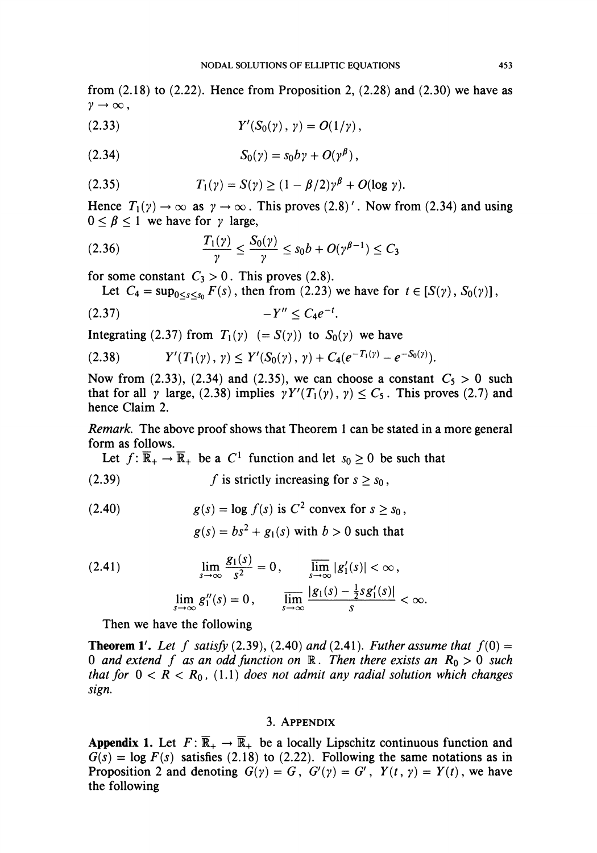from  $(2.18)$  to  $(2.22)$ . Hence from Proposition 2,  $(2.28)$  and  $(2.30)$  we have as  $\gamma\rightarrow\infty$ ,

(2.33) 
$$
Y'(S_0(\gamma), \gamma) = O(1/\gamma),
$$

$$
(2.34) \tS_0(\gamma) = s_0 b \gamma + O(\gamma^{\beta}),
$$

(2.35) 
$$
T_1(\gamma) = S(\gamma) \ge (1 - \beta/2)\gamma^{\beta} + O(\log \gamma).
$$

Hence  $T_1(y) \to \infty$  as  $y \to \infty$ . This proves (2.8)'. Now from (2.34) and using  $0 \leq \beta \leq 1$  we have for  $\gamma$  large,

$$
(2.36) \qquad \qquad \frac{T_1(\gamma)}{\gamma} \le \frac{S_0(\gamma)}{\gamma} \le s_0 b + O(\gamma^{\beta-1}) \le C_3
$$

for some constant  $C_3 > 0$ . This proves (2.8).

Let 
$$
C_4 = \sup_{0 < s < s_0} F(s)
$$
, then from (2.23) we have for  $t \in [S(\gamma), S_0(\gamma)]$ ,

$$
(2.37) \qquad \qquad -Y'' \leq C_4 e^{-t}.
$$

Integrating (2.37) from  $T_1(y) (= S(y))$  to  $S_0(y)$  we have

$$
(2.38) \t Y'(T_1(\gamma), \gamma) \leq Y'(S_0(\gamma), \gamma) + C_4(e^{-T_1(\gamma)} - e^{-S_0(\gamma)}).
$$

Now from (2.33), (2.34) and (2.35), we can choose a constant  $C_5 > 0$  such that for all  $\gamma$  large, (2.38) implies  $\gamma Y'(T_1(\gamma), \gamma) \leq C_5$ . This proves (2.7) and hence Claim 2.

Remark. The above proof shows that Theorem 1 can be stated in a more general form as follows.

Let  $f: \overline{\mathbb{R}}_+ \to \overline{\mathbb{R}}_+$  be a  $C^1$  function and let  $s_0 \ge 0$  be such that

(2.39) 
$$
f \text{ is strictly increasing for } s \geq s_0,
$$

(2.40) 
$$
g(s) = \log f(s) \text{ is } C^2 \text{ convex for } s \ge s_0,
$$

$$
g(s) = bs^2 + g_1(s) \text{ with } b > 0 \text{ such that}
$$

(2.41) 
$$
\lim_{s \to \infty} \frac{g_1(s)}{s^2} = 0, \qquad \lim_{s \to \infty} |g'_1(s)| < \infty,
$$

$$
\lim_{s \to \infty} g''_1(s) = 0, \qquad \lim_{s \to \infty} \frac{|g_1(s) - \frac{1}{2} s g'_1(s)|}{s} < \infty.
$$

Then we have the following

**Theorem 1'.** Let f satisfy (2.39), (2.40) and (2.41). Futher assume that  $f(0) =$ 0 and extend f as an odd function on  $\mathbb R$ . Then there exists an  $R_0 > 0$  such that for  $0 < R < R_0$ , (1.1) does not admit any radial solution which changes sign.

### 3. Appendix

**Appendix 1.** Let  $F: \overline{\mathbb{R}}_+ \to \overline{\mathbb{R}}_+$  be a locally Lipschitz continuous function and  $G(s) = \log F(s)$  satisfies (2.18) to (2.22). Following the same notations as in Proposition 2 and denoting  $G(\gamma) = G$ ,  $G'(\gamma) = G'$ ,  $Y(t, \gamma) = Y(t)$ , we have the following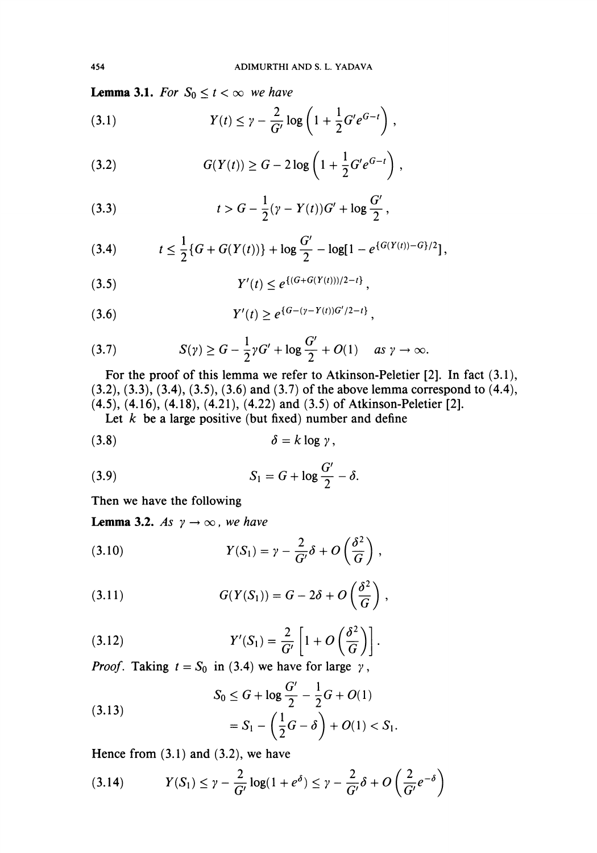**Lemma 3.1.** For  $S_0 \le t < \infty$  we have

(3.1) 
$$
Y(t) \leq \gamma - \frac{2}{G'} \log \left( 1 + \frac{1}{2} G' e^{G-t} \right),
$$

(3.2) 
$$
G(Y(t)) \ge G - 2 \log \left( 1 + \frac{1}{2} G' e^{G-t} \right),
$$

(3.3) 
$$
t > G - \frac{1}{2}(\gamma - Y(t))G' + \log \frac{G'}{2},
$$

(3.4) 
$$
t \leq \frac{1}{2} \{ G + G(Y(t)) \} + \log \frac{G'}{2} - \log[1 - e^{\{ G(Y(t)) - G\}/2}],
$$

(3.5) 
$$
Y'(t) \leq e^{\{(G+G(Y(t)))/2-t\}},
$$

(3.6) 
$$
Y'(t) \geq e^{\{G-(\gamma-Y(t))G'/2-t\}},
$$

(3.7) 
$$
S(\gamma) \geq G - \frac{1}{2}\gamma G' + \log \frac{G'}{2} + O(1) \quad \text{as } \gamma \to \infty.
$$

For the proof of this lemma we refer to Atkinson-Peletier [2]. In fact (3.1), (3.2), (3.3), (3.4), (3.5), (3.6) and (3.7) of the above lemma correspond to (4.4), (4.5), (4.16), (4.18), (4.21), (4.22) and (3.5) of Atkinson-Peletier [2].

Let  $k$  be a large positive (but fixed) number and define

$$
\delta = k \log \gamma,
$$

$$
(3.9) \tS1 = G + \log \frac{G'}{2} - \delta.
$$

Then we have the following

**Lemma 3.2.** As  $\gamma \rightarrow \infty$ , we have

(3.10) 
$$
Y(S_1) = \gamma - \frac{2}{G'}\delta + O\left(\frac{\delta^2}{G}\right),
$$

(3.11) 
$$
G(Y(S_1)) = G - 2\delta + O\left(\frac{\delta^2}{G}\right),
$$

(3.12) 
$$
Y'(S_1) = \frac{2}{G'} \left[ 1 + O\left(\frac{\delta^2}{G}\right) \right].
$$

*Proof.* Taking  $t = S_0$  in (3.4) we have for large  $\gamma$ ,

(3.13)  

$$
S_0 \le G + \log \frac{G'}{2} - \frac{1}{2}G + O(1)
$$

$$
= S_1 - \left(\frac{1}{2}G - \delta\right) + O(1) < S_1.
$$

Hence from  $(3.1)$  and  $(3.2)$ , we have

$$
(3.14) \tY(S_1) \leq \gamma - \frac{2}{G'}\log(1+e^{\delta}) \leq \gamma - \frac{2}{G'}\delta + O\left(\frac{2}{G'}e^{-\delta}\right)
$$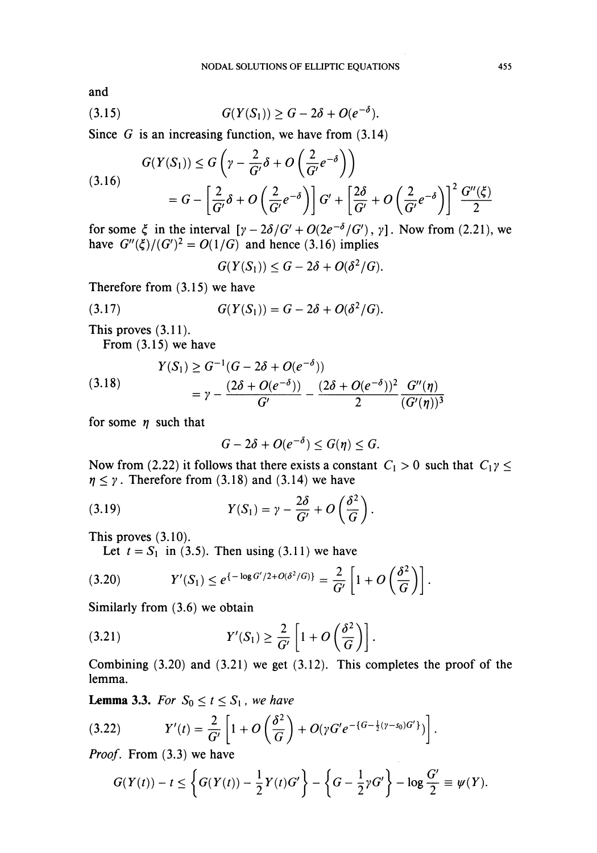and

$$
(3.15) \tG(Y(S_1)) \ge G - 2\delta + O(e^{-\delta}).
$$

Since  $G$  is an increasing function, we have from  $(3.14)$ 

$$
(3.16)
$$
\n
$$
G(Y(S_1)) \le G\left(\gamma - \frac{2}{G'}\delta + O\left(\frac{2}{G'}e^{-\delta}\right)\right)
$$
\n
$$
= G - \left[\frac{2}{G'}\delta + O\left(\frac{2}{G'}e^{-\delta}\right)\right]G' + \left[\frac{2\delta}{G'} + O\left(\frac{2}{G'}e^{-\delta}\right)\right]^2 \frac{G''(\xi)}{2}
$$

for some  $\xi$  in the interval  $[\gamma - 2\delta/G' + O(2e^{-\delta}/G'), \gamma]$ . Now from (2.21), we have  $G''(\xi)/(G')^2 = O(1/G)$  and hence (3.16) implies

 $G(Y(S_1)) \leq G - 2\delta + O(\delta^2/G).$ 

Therefore from (3.15) we have

(3.17) 
$$
G(Y(S_1)) = G - 2\delta + O(\delta^2/G).
$$

This proves (3.11).

From (3.15) we have

(3.18) 
$$
Y(S_1) \ge G^{-1}(G - 2\delta + O(e^{-\delta}))
$$

$$
= \gamma - \frac{(2\delta + O(e^{-\delta}))}{G'} - \frac{(2\delta + O(e^{-\delta}))^2}{2} \frac{G''(\eta)}{(G'(\eta))^3}
$$

for some  $\eta$  such that

$$
G-2\delta+O(e^{-\delta})\leq G(\eta)\leq G.
$$

Now from (2.22) it follows that there exists a constant  $C_1 > 0$  such that  $C_1 \gamma \leq$  $\eta \leq \gamma$ . Therefore from (3.18) and (3.14) we have

(3.19) 
$$
Y(S_1) = \gamma - \frac{2\delta}{G'} + O\left(\frac{\delta^2}{G}\right).
$$

This proves (3.10).

Let  $t = S_1$  in (3.5). Then using (3.11) we have

$$
(3.20) \t Y'(S_1) \leq e^{\{-\log G'/2 + O(\delta^2/G)\}} = \frac{2}{G'}\left[1 + O\left(\frac{\delta^2}{G}\right)\right].
$$

Similarly from (3.6) we obtain

(3.21) 
$$
Y'(S_1) \geq \frac{2}{G'} \left[ 1 + O\left(\frac{\delta^2}{G}\right) \right].
$$

Combining  $(3.20)$  and  $(3.21)$  we get  $(3.12)$ . This completes the proof of the lemma.

**Lemma 3.3.** For  $S_0 \le t \le S_1$ , we have

(3.22) 
$$
Y'(t) = \frac{2}{G'} \left[ 1 + O\left(\frac{\delta^2}{G}\right) + O(\gamma G' e^{-\{G - \frac{1}{2}(\gamma - s_0)G'\}}) \right].
$$

Proof. From (3.3) we have

$$
G(Y(t))-t\leq \left\{G(Y(t))-\frac{1}{2}Y(t)G'\right\}-\left\{G-\frac{1}{2}\gamma G'\right\}-\log\frac{G'}{2}\equiv \psi(Y).
$$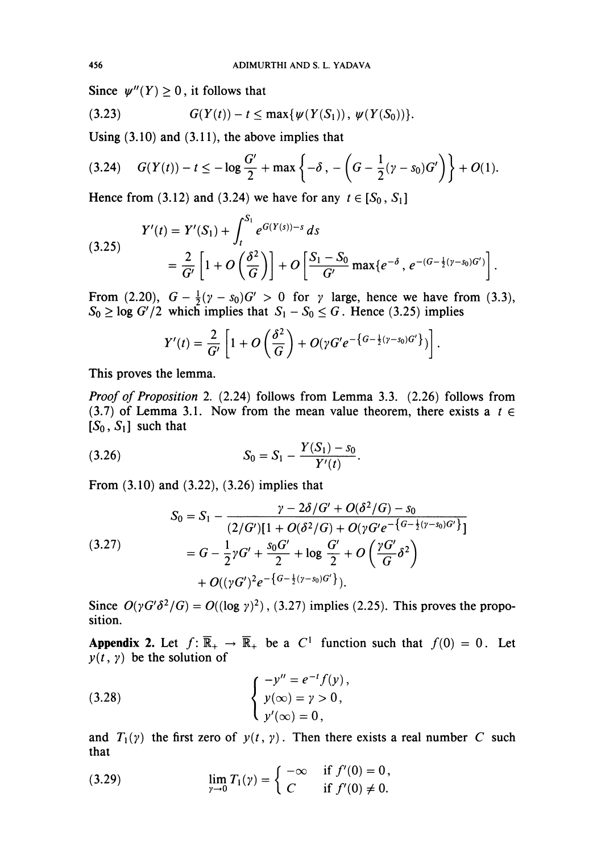Since  $\psi''(Y) \geq 0$ , it follows that

(3.23) 
$$
G(Y(t)) - t \leq \max\{\psi(Y(S_1)), \psi(Y(S_0))\}.
$$

Using (3.10) and (3.11), the above implies that

$$
(3.24) \quad G(Y(t)) - t \leq -\log \frac{G'}{2} + \max \left\{-\delta \, , \, -\left(G - \frac{1}{2}(\gamma - s_0)G'\right)\right\} + O(1).
$$

Hence from (3.12) and (3.24) we have for any  $t \in [S_0, S_1]$ 

(3.25) 
$$
Y'(t) = Y'(S_1) + \int_t^{S_1} e^{G(Y(s)) - s} ds
$$

$$
= \frac{2}{G'} \left[ 1 + O\left(\frac{\delta^2}{G}\right) \right] + O\left[\frac{S_1 - S_0}{G'} \max\{e^{-\delta}, e^{-(G - \frac{1}{2}(\gamma - s_0)G')}\right].
$$

From (2.20),  $G - \frac{1}{2}(\gamma - s_0)G' > 0$  for  $\gamma$  large, hence we have from (3.3),  $S_0 \ge \log G'/2$  which implies that  $S_1 - S_0 \le G$ . Hence (3.25) implies

$$
Y'(t)=\frac{2}{G'}\left[1+O\left(\frac{\delta^2}{G}\right)+O(\gamma G'e^{-\left\{G-\frac{1}{2}(\gamma-s_0)G'\right\}})\right].
$$

This proves the lemma.

Proof of Proposition 2. (2.24) follows from Lemma 3.3. (2.26) follows from (3.7) of Lemma 3.1. Now from the mean value theorem, there exists a  $t \in$  $[S_0, S_1]$  such that

$$
(3.26) \t\t S_0 = S_1 - \frac{Y(S_1) - S_0}{Y'(t)}.
$$

From (3.10) and (3.22), (3.26) implies that

$$
(3.27) \qquad S_0 = S_1 - \frac{\gamma - 2\delta/G' + O(\delta^2/G) - s_0}{(2/G)[1 + O(\delta^2/G) + O(\gamma G'e^{-\{G-\frac{1}{2}(\gamma - s_0)G'\}})]}
$$
\n
$$
= G - \frac{1}{2}\gamma G' + \frac{s_0 G'}{2} + \log \frac{G'}{2} + O\left(\frac{\gamma G'}{G}\delta^2\right)
$$
\n
$$
+ O((\gamma G')^2 e^{-\{G-\frac{1}{2}(\gamma - s_0)G'\}}).
$$

Since  $O(\gamma G' \delta^2/G) = O((\log \gamma)^2)$ , (3.27) implies (2.25). This proves the proposition.

Appendix 2. Let  $f: \overline{\mathbb{R}}_+ \to \overline{\mathbb{R}}_+$  be a  $C^1$  function such that  $f(0) = 0$ . Let  $y(t, y)$  be the solution of

(3.28) 
$$
\begin{cases} -y'' = e^{-t} f(y), \\ y(\infty) = y > 0, \\ y'(\infty) = 0, \end{cases}
$$

and  $T_1(y)$  the first zero of  $y(t, y)$ . Then there exists a real number C such that

(3.29) 
$$
\lim_{\gamma \to 0} T_1(\gamma) = \begin{cases} -\infty & \text{if } f'(0) = 0, \\ C & \text{if } f'(0) \neq 0. \end{cases}
$$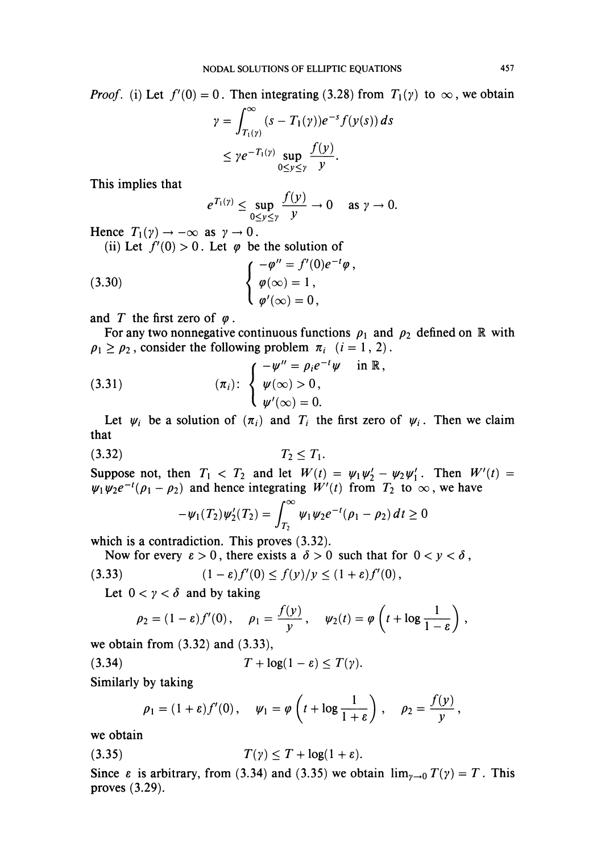*Proof.* (i) Let  $f'(0) = 0$ . Then integrating (3.28) from  $T_1(y)$  to  $\infty$ , we obtain

$$
\gamma = \int_{T_1(\gamma)}^{\infty} (s - T_1(\gamma)) e^{-s} f(\gamma(s)) ds
$$
  
\n
$$
\leq \gamma e^{-T_1(\gamma)} \sup_{0 \leq y \leq \gamma} \frac{f(y)}{y}.
$$

This implies that

$$
e^{T_1(\gamma)} \leq \sup_{0 \leq y \leq \gamma} \frac{f(y)}{y} \to 0 \quad \text{as } \gamma \to 0.
$$

 $\overline{\phantom{a}}$ 

Hence  $T_1(y) \rightarrow -\infty$  as  $y \rightarrow 0$ .

(ii) Let  $f'(0) > 0$ . Let  $\varphi$  be the solution of

(3.30) 
$$
\begin{cases} -\varphi'' = f'(0)e^{-t}\varphi \\ \varphi(\infty) = 1, \\ \varphi'(\infty) = 0, \end{cases}
$$

and T the first zero of  $\varphi$ .

For any two nonnegative continuous functions  $\rho_1$  and  $\rho_2$  defined on R with  $p_1 \geq p_2$ , consider the following problem  $\pi_i$   $(i = 1, 2)$ .

(3.31) 
$$
(\pi_i): \begin{cases} -\psi'' = \rho_i e^{-t} \psi & \text{in } \mathbb{R}, \\ \psi(\infty) > 0, \\ \psi'(\infty) = 0. \end{cases}
$$

Let  $\psi_i$  be a solution of  $(\pi_i)$  and  $T_i$  the first zero of  $\psi_i$ . Then we claim that

$$
(3.32) \t\t T_2 \le T_1
$$

Suppose not, then  $T_1 < T_2$  and let  $W(t) = \psi_1\psi_2' - \psi_2\psi_1'$ . Then  $W'(t) =$  $\psi_1\psi_2e^{-t}(\rho_1 - \rho_2)$  and hence integrating  $W'(t)$  from  $T_2$  to  $\infty$ , we have

$$
-\psi_1(T_2)\psi'_2(T_2)=\int_{T_2}^{\infty}\psi_1\psi_2e^{-t}(\rho_1-\rho_2)\,dt\geq 0
$$

which is a contradiction. This proves  $(3.32)$ .

Now for every  $\varepsilon > 0$ , there exists a  $\delta > 0$  such that for  $0 < y < \delta$ , (3.33) (1  $e$ )  $f'(\Omega) < f(y)/y < (1 + \epsilon) f'(\Omega)$ 

$$
(1-\varepsilon)f'(0) \le f(y)/y \le (1+\varepsilon)f'(0)
$$

Let  $0 < y < \delta$  and by taking

$$
\rho_2 = (1 - \varepsilon) f'(0), \quad \rho_1 = \frac{f(y)}{y}, \quad \psi_2(t) = \varphi \left( t + \log \frac{1}{1 - \varepsilon} \right),
$$

we obtain from (3.32) and (3.33),

(3.34)  $T + \log(1 - \varepsilon) \leq T(\gamma)$ .

Similarly by taking

$$
\rho_1 = (1+\varepsilon)f'(0), \quad \psi_1 = \varphi\left(t + \log\frac{1}{1+\varepsilon}\right), \quad \rho_2 = \frac{f(y)}{y},
$$

we obtain

$$
(3.35) \t\t T(\gamma) \leq T + \log(1+\varepsilon).
$$

Since  $\varepsilon$  is arbitrary, from (3.34) and (3.35) we obtain  $\lim_{y\to 0} T(y) = T$ . This proves (3.29).